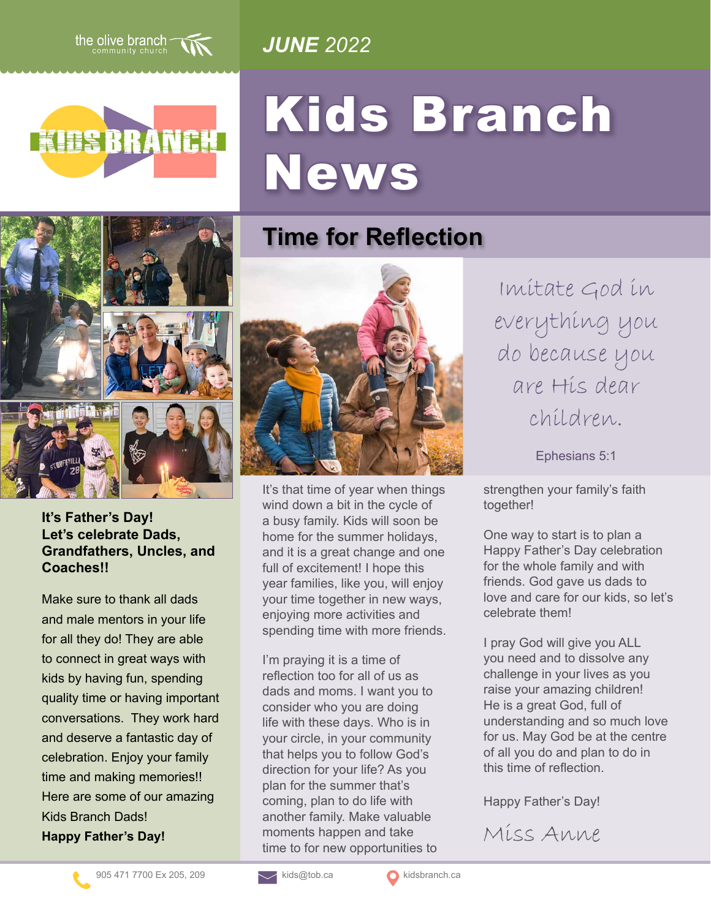

*JUNE 2022*



# Kids Branch News



#### **It's Father's Day! Let's celebrate Dads, Grandfathers, Uncles, and Coaches!!**

Make sure to thank all dads and male mentors in your life for all they do! They are able to connect in great ways with kids by having fun, spending quality time or having important conversations. They work hard and deserve a fantastic day of celebration. Enjoy your family time and making memories!! Here are some of our amazing Kids Branch Dads! **Happy Father's Day!**



**Time for Reflection**

It's that time of year when things wind down a bit in the cycle of a busy family. Kids will soon be home for the summer holidays, and it is a great change and one full of excitement! I hope this year families, like you, will enjoy your time together in new ways, enjoying more activities and spending time with more friends.

I'm praying it is a time of reflection too for all of us as dads and moms. I want you to consider who you are doing life with these days. Who is in your circle, in your community that helps you to follow God's direction for your life? As you plan for the summer that's coming, plan to do life with another family. Make valuable moments happen and take time to for new opportunities to

Imitate God in everything you do because you are His dear children.

Ephesians 5:1

strengthen your family's faith together!

One way to start is to plan a Happy Father's Day celebration for the whole family and with friends. God gave us dads to love and care for our kids, so let's celebrate them!

I pray God will give you ALL you need and to dissolve any challenge in your lives as you raise your amazing children! He is a great God, full of understanding and so much love for us. May God be at the centre of all you do and plan to do in this time of reflection.

Happy Father's Day!

Miss Anne